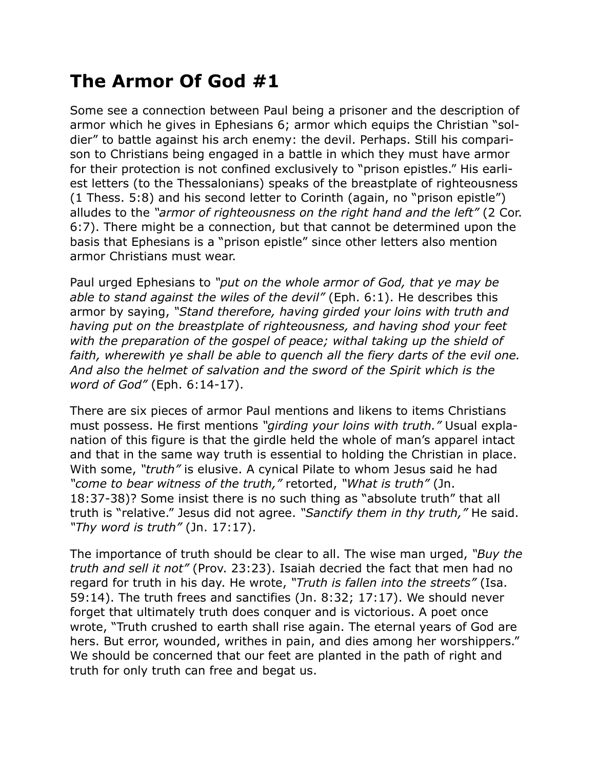## **The Armor Of God #1**

Some see a connection between Paul being a prisoner and the description of armor which he gives in Ephesians 6; armor which equips the Christian "soldier" to battle against his arch enemy: the devil. Perhaps. Still his comparison to Christians being engaged in a battle in which they must have armor for their protection is not confined exclusively to "prison epistles." His earliest letters (to the Thessalonians) speaks of the breastplate of righteousness (1 Thess. 5:8) and his second letter to Corinth (again, no "prison epistle") alludes to the *"armor of righteousness on the right hand and the left"* (2 Cor. 6:7). There might be a connection, but that cannot be determined upon the basis that Ephesians is a "prison epistle" since other letters also mention armor Christians must wear.

Paul urged Ephesians to *"put on the whole armor of God, that ye may be able to stand against the wiles of the devil"* (Eph. 6:1). He describes this armor by saying, *"Stand therefore, having girded your loins with truth and having put on the breastplate of righteousness, and having shod your feet with the preparation of the gospel of peace; withal taking up the shield of*  faith, wherewith ye shall be able to quench all the fiery darts of the evil one. *And also the helmet of salvation and the sword of the Spirit which is the word of God"* (Eph. 6:14-17).

There are six pieces of armor Paul mentions and likens to items Christians must possess. He first mentions *"girding your loins with truth."* Usual explanation of this figure is that the girdle held the whole of man's apparel intact and that in the same way truth is essential to holding the Christian in place. With some, *"truth"* is elusive. A cynical Pilate to whom Jesus said he had *"come to bear witness of the truth,"* retorted, *"What is truth"* (Jn. 18:37-38)? Some insist there is no such thing as "absolute truth" that all truth is "relative." Jesus did not agree. *"Sanctify them in thy truth,"* He said. *"Thy word is truth"* (Jn. 17:17).

The importance of truth should be clear to all. The wise man urged, *"Buy the truth and sell it not"* (Prov. 23:23). Isaiah decried the fact that men had no regard for truth in his day. He wrote, *"Truth is fallen into the streets"* (Isa. 59:14). The truth frees and sanctifies (Jn. 8:32; 17:17). We should never forget that ultimately truth does conquer and is victorious. A poet once wrote, "Truth crushed to earth shall rise again. The eternal years of God are hers. But error, wounded, writhes in pain, and dies among her worshippers." We should be concerned that our feet are planted in the path of right and truth for only truth can free and begat us.